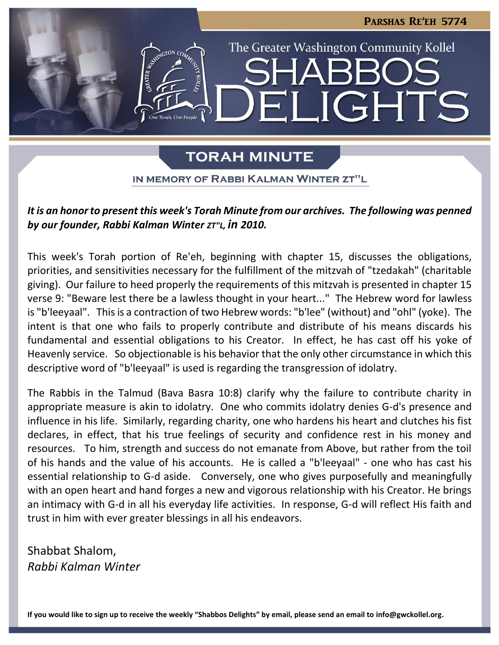

# **TORAH MINUTE**

IN MEMORY OF RABBI KALMAN WINTER ZT"L

## *It is an honor to present this week's Torah Minute from our archives. The following was penned by our founder, Rabbi Kalman Winter ZT"L, in 2010.*

This week's Torah portion of Re'eh, beginning with chapter 15, discusses the obligations, priorities, and sensitivities necessary for the fulfillment of the mitzvah of "tzedakah" (charitable giving). Our failure to heed properly the requirements of this mitzvah is presented in chapter 15 verse 9: "Beware lest there be a lawless thought in your heart..." The Hebrew word for lawless is "b'leeyaal". This is a contraction of two Hebrew words: "b'lee" (without) and "ohl" (yoke). The intent is that one who fails to properly contribute and distribute of his means discards his fundamental and essential obligations to his Creator. In effect, he has cast off his yoke of Heavenly service. So objectionable is his behavior that the only other circumstance in which this descriptive word of "b'leeyaal" is used is regarding the transgression of idolatry.

The Rabbis in the Talmud (Bava Basra 10:8) clarify why the failure to contribute charity in appropriate measure is akin to idolatry. One who commits idolatry denies G-d's presence and influence in his life. Similarly, regarding charity, one who hardens his heart and clutches his fist declares, in effect, that his true feelings of security and confidence rest in his money and resources. To him, strength and success do not emanate from Above, but rather from the toil of his hands and the value of his accounts. He is called a "b'leeyaal" - one who has cast his essential relationship to G-d aside. Conversely, one who gives purposefully and meaningfully with an open heart and hand forges a new and vigorous relationship with his Creator. He brings an intimacy with G-d in all his everyday life activities. In response, G-d will reflect His faith and trust in him with ever greater blessings in all his endeavors.

Shabbat Shalom, *Rabbi Kalman Winter*

**If you would like to sign up to receive the weekly "Shabbos Delights" by email, please send an email to [info@gwckollel.org.](mailto:info@gwckollel.org)**